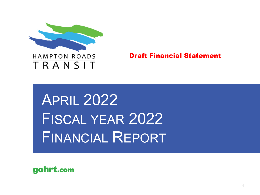

Draft Financial Statement

APRIL 2022 FISCAL YEAR 2022 FINANCIAL REPORT

gohrt.com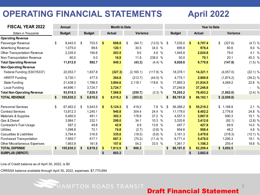# **OPERATING FINANCIAL STATEMENTS April 2022**

| <b>FISCAL YEAR 2022</b>            | <b>Annual</b>   | <b>Month to Date</b> |               |      |               | <b>Year to Date</b> |                     |     |               |               |               |    |              |             |
|------------------------------------|-----------------|----------------------|---------------|------|---------------|---------------------|---------------------|-----|---------------|---------------|---------------|----|--------------|-------------|
| Dollars in Thousands               | <b>Budget</b>   |                      | <b>Budget</b> |      | <b>Actual</b> | Variance            |                     |     | <b>Budget</b> |               | <b>Actual</b> |    | Variance     |             |
| <b>Operating Revenue</b>           |                 |                      |               |      |               |                     |                     |     |               |               |               |    |              |             |
| Passenger Revenue                  | \$<br>8,442.0   | \$                   | 703.5         | -\$  | 608.8         | \$<br>(94.7)        | $(13.5) \%$ \$      |     | 7,035.0       | $\frac{1}{2}$ | 6,707.4       | \$ | (327.6)      | $(4.7)$ %   |
| <b>Advertising Revenue</b>         | 1,075.0         |                      | 89.6          |      | 120.1         | 30.5                | 34.0 %              |     | 895.8         |               | 976.4         |    | 80.6         | 9.0 %       |
| Other Transportation Revenue       | 2,335.0         |                      | 194.6         |      | 203.5         | 9.0                 | 4.6 %               |     | 1,945.8       |               | 2,024.8       |    | 79.0         | 4.1 %       |
| Non-Transportation Revenue         | 60.0            |                      | 5.0           |      | 16.9          | 11.9                | 238.0 %             |     | 50.0          |               | 70.1          |    | 20.1         | 40.3 %      |
| <b>Total Operating Revenue</b>     | 11,912.0        |                      | 992.7         |      | 949.3         | (43.3)              | (4.4) %             |     | 9,926.6       |               | 9,778.8       |    | (147.8)      | (1.5) %     |
| <b>Non-Operating Revenue</b>       |                 |                      |               |      |               |                     |                     |     |               |               |               |    |              |             |
| Federal Funding (5307/5337)        | 22,053.7        |                      | 1,837.8       |      | (327.3)       | (2, 165.1)          | $(117.8)$ %         |     | 18,378.1      |               | 14,321.1      |    | (4,057.0)    | $(22.1)$ %  |
| <b>HRRTF</b> Funding               | 5,730.1         |                      | 477.5         |      | 264.8         | (212.7)             | (44.5) %            |     | 4,775.1       |               | 2,900.9       |    | (1,874.2)    | $(39.2)$ %  |
| <b>State Funding</b>               | 21,438.3        |                      | 1,786.5       |      | 3,904.6       | 2,118.1             | 118.6 %             |     | 17,865.3      |               | 21,934.5      |    | 4,069.2      | 22.8 %      |
| <b>Local Funding</b>               | 44,696.1        |                      | 3,724.7       |      | 3,724.7       |                     | %<br>$\blacksquare$ |     | 37,246.8      |               | 37,246.8      |    |              | $\%$<br>- 1 |
| <b>Total Non-Operating Revenue</b> | 93,918.3        |                      | 7,826.5       |      | 7,566.9       | (259.7)             | $(3.3)$ %           |     | 78,265.2      |               | 76,403.2      |    | (1,862.0)    | $(2.4)$ %   |
| <b>TOTAL REVENUE</b>               | \$<br>105,830.2 | S                    | 8,819.2       | - \$ | 8,516.2       | \$<br>(303.0)       |                     | S.  | 88,191.8      | -5            | 86,182.1      |    | \$ (2,009.8) |             |
|                                    |                 |                      |               |      |               |                     |                     |     |               |               |               |    |              |             |
| <b>Personnel Services</b>          | \$<br>67,463.2  | \$                   | 5,543.5       | -\$  | 5,124.3       | \$<br>419.2         | 7.6 %               | -\$ | 56,388.2      | -S            | 55,219.3      | \$ | 1,168.9      | 2.1%        |
| <b>Contract Services</b>           | 13,812.3        |                      | 1,245.1       |      | 940.8         | 304.4               | 24.4 %              |     | 11,179.0      |               | 8,402.2       |    | 2,776.8      | 24.8 %      |
| Materials & Supplies               | 5,460.0         |                      | 481.1         |      | 302.3         | 178.9               | 37.2 %              |     | 4,557.3       |               | 3,867.0       |    | 690.3        | 15.1 %      |
| Gas & Diesel                       | 3,984.7         |                      | 332.1         |      | 298.0         | 34.1                | 10.3 %              |     | 3,320.6       |               | 3,412.6       |    | (92.1)       | $(2.8)$ %   |
| Contractor's Fuel Usage            | 597.3           |                      | 49.8          |      | 42.9          | 6.9                 | 13.8 %              |     | 497.7         |               | 427.8         |    | 69.9         | 14.0 %      |
| <b>Utilities</b>                   | 1,098.8         |                      | 72.1          |      | 74.8          | (2.7)               | $(3.8)$ %           |     | 954.6         |               | 908.4         |    | 46.2         | 4.8 %       |
| Casualties & Liabilities           | 3,794.4         |                      | 316.5         |      | 335.0         | (18.5)              | $(5.8)$ %           |     | 3,161.3       |               | 3,479.6       |    | (318.3)      | (10.1) %    |
| Purchased Transportation           | 7,955.7         |                      | 617.1         |      | 687.3         | (70.2)              | (11.4) %            |     | 6,771.4       |               | 5,476.0       |    | 1,295.3      | 19.1 %      |
| Other Miscellaneous Expenses       | 1,663.9         |                      | 161.8         |      | 107.6         | 54.2                | 33.5 %              |     | 1,361.7       |               | 1,106.3       |    | 255.4        | 18.8 %      |
| <b>TOTAL EXPENSE</b>               | \$<br>105,830.2 | \$                   | 8,819.2       | -\$  | 7,912.9       | \$<br>906.3         |                     | \$  | 88,191.8      | S             | 82,299.4      |    | \$5,892.5    |             |
| <b>SURPLUS (DEFICIT)</b>           |                 |                      |               | \$   | 603.3         |                     |                     |     |               | S             | 3,882.8       |    |              |             |

Line of Credit balance as of April 30, 2022, is \$0

CRRSSA balance available through April 30, 2022, expenses: \$7,770,694

**HAMPTON ROADS TRANSIT** 

Draft Financial Statement

 $\mathcal{D}$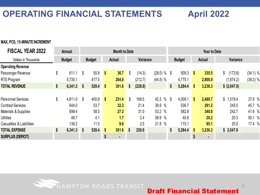# **OPERATING FINANCIAL STATEMENTS April 2022**

### **MAX, PCS, 15-MINUTE INCREMENT**

| <b>FISCAL YEAR 2022</b>   | Annual        | <b>Month to Date</b> |               |                   |        | <b>Year to Date</b> |                       |               |         |               |         |                 |                       |
|---------------------------|---------------|----------------------|---------------|-------------------|--------|---------------------|-----------------------|---------------|---------|---------------|---------|-----------------|-----------------------|
| Dollars in Thousands      | <b>Budget</b> |                      | <b>Budget</b> |                   | Actual | <b>Variance</b>     |                       | <b>Budget</b> |         | <b>Actual</b> |         | <b>Variance</b> |                       |
| <b>Operating Revenue</b>  |               |                      |               |                   |        |                     |                       |               |         |               |         |                 |                       |
| Passenger Revenue         | \$<br>611.1   | \$                   | 50.9          | $\boldsymbol{\$}$ | 36.7   | \$<br>(14.3)        | (28.0) %              | S             | 509.3   | $\sqrt{3}$    | 335.5   | (173.8)<br>\$   | $(34.1)$ %            |
| <b>RTS Program</b>        | 5,730.1       |                      | 477.5         |                   | 264.8  | (212.7)             | (44.5) %              |               | 4,775.1 |               | 2,900.9 | (1,874.2)       | $(39.2)$ %            |
| <b>TOTAL REVENUE</b>      | \$<br>6,341.3 | $\sqrt{3}$           | $528.4$ \$    |                   | 301.6  | \$<br>(226.9)       |                       | \$            | 5,284.4 | -\$           | 3,236.3 | \$ (2,047.9)    |                       |
|                           |               |                      |               |                   |        |                     |                       |               |         |               |         |                 |                       |
| <b>Personnel Services</b> | \$<br>4,811.0 | -\$                  | 400.9         | \$                | 231.4  | \$<br>169.5         | $\frac{0}{0}$<br>42.3 | S.            | 4,009.1 | \$            | 2,489.7 | \$1,519.4       | 37.9 %                |
| <b>Contract Services</b>  | 644.0         |                      | 53.7          |                   | 32.3   | 21.4                | 39.9 %                |               | 536.7   |               | 291.2   | 245.5           | 45.7 %                |
| Materials & Supplies      | 699.4         |                      | 58.3          |                   | 27.3   | 31.0                | 53.2 %                |               | 582.8   |               | 340.0   | 242.7           | 41.6 %                |
| <b>Utilities</b>          | 48.7          |                      | 4.1           |                   | 1.7    | 2.4                 | 58.9 %                |               | 40.6    |               | 20.2    | 20.3            | $\frac{0}{0}$<br>50.1 |
| Casualties & Liabilities  | 138.2         |                      | 11.5          |                   | 9.0    | 2.5                 | 21.9 %                |               | 115.1   |               | 95.1    | 20.0            | 17.4 %                |
| <b>TOTAL EXPENSE</b>      | \$<br>6,341.3 | - \$                 | 528.4         | \$                | 301.6  | \$<br>226.9         |                       | \$            | 5,284.4 | S             | 3,236.3 | \$2,047.9       |                       |
| <b>SURPLUS (DEFICIT)</b>  |               |                      |               | \$                | ٠      |                     |                       |               |         | \$            | ٠       |                 |                       |
|                           |               |                      |               |                   |        |                     |                       |               |         |               |         |                 |                       |



3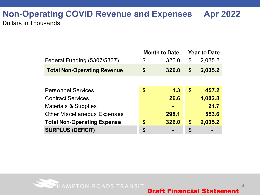## **Non-Operating COVID Revenue and Expenses Apr 2022** Dollars in Thousands

|                                     | <b>Month to Date</b> | <b>Year to Date</b> |         |  |
|-------------------------------------|----------------------|---------------------|---------|--|
| Federal Funding (5307/5337)         | \$<br>326.0          | \$                  | 2,035.2 |  |
| <b>Total Non-Operating Revenue</b>  | \$<br>326.0          | \$                  | 2,035.2 |  |
|                                     |                      |                     |         |  |
| <b>Personnel Services</b>           | \$<br>1.3            | \$                  | 457.2   |  |
| <b>Contract Services</b>            | 26.6                 |                     | 1,002.8 |  |
| <b>Materials &amp; Supplies</b>     | $\blacksquare$       |                     | 21.7    |  |
| <b>Other Miscellaneous Expenses</b> | 298.1                |                     | 553.6   |  |
| <b>Total Non-Operating Expense</b>  | \$<br>326.0          | \$                  | 2,035.2 |  |
| <b>SURPLUS (DEFICIT)</b>            | \$                   | \$                  |         |  |



4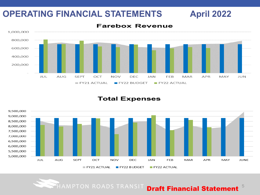# **OPERATING FINANCIAL STATEMENTS April 2022**

### 1,000,000 800,000 600,000 400,000 200,000 JUL **SEPT** OCT DEC APR **AUG NOV JAN** FEB MAR MAY JUN  $FY21$  ACTUAL FY22 BUDGET **FY22 ACTUAL**

### **Farebox Revenue**

### **Total Expenses**



HAMPTON ROADS TRANSIT **Draft Financial Statement**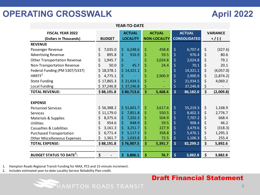# **OPERATING CROSSWALK April 2022**

| <b>YEAR-TO-DATE</b>                       |               |                 |                     |                                                 |  |                 |  |  |  |
|-------------------------------------------|---------------|-----------------|---------------------|-------------------------------------------------|--|-----------------|--|--|--|
| <b>FISCAL YEAR 2022</b>                   |               | <b>ACTUAL</b>   | <b>ACTUAL</b>       | <b>ACTUAL</b>                                   |  | <b>VARIANCE</b> |  |  |  |
| (Dollars in Thousands)                    | <b>BUDGET</b> | <b>LOCALITY</b> | <b>NON-LOCALITY</b> | <b>CONSOLIDATED</b>                             |  | $+ / (-)$       |  |  |  |
| <b>REVENUE</b>                            |               |                 |                     |                                                 |  |                 |  |  |  |
| Passenger Revenue                         | \$<br>7,035.0 | \$<br>6,248.6   | \$<br>458.8         | \$<br>6,707.4                                   |  | \$<br>(327.6)   |  |  |  |
| <b>Advertising Revenue</b>                | \$<br>895.8   | \$<br>916.9     | \$<br>59.5          | \$<br>976.4                                     |  | \$<br>80.6      |  |  |  |
| <b>Other Transportation Revenue</b>       | \$<br>1,945.7 | \$              | \$<br>2,024.8       | \$<br>2,024.8                                   |  | \$<br>79.1      |  |  |  |
| Non-Transportation Revenue                | \$<br>50.0    | \$<br>45.7      | \$<br>24.4          | \$<br>70.1                                      |  | \$<br>20.1      |  |  |  |
| Federal Funding (PM 5307/5337)            | \$18,378.1    | \$14,321.1      | \$                  | \$<br>14,321.1                                  |  | \$<br>(4,057.0) |  |  |  |
| HRRTF <sup>1</sup>                        | \$<br>4,775.1 | \$              | \$<br>2,900.9       | \$<br>2,900.9                                   |  | \$<br>(1,874.2) |  |  |  |
| <b>State Funding</b>                      | \$17,865.3    | \$21,934.5      | \$                  | \$<br>21,934.5                                  |  | \$<br>4,069.2   |  |  |  |
| <b>Local Funding</b>                      | \$37,246.8    | \$37,246.8      | \$                  | \$<br>37,246.8                                  |  | \$              |  |  |  |
| <b>TOTAL REVENUE:</b>                     | \$88,191.8    | \$80,713.6      | \$<br>5,468.4       | \$<br>86,182.0                                  |  | \$<br>(2,009.8) |  |  |  |
|                                           |               |                 |                     |                                                 |  |                 |  |  |  |
| <b>EXPENSE</b>                            |               |                 |                     |                                                 |  |                 |  |  |  |
| <b>Personnel Services</b>                 | \$56,388.2    | \$ 51,601.7     | \$<br>3,617.6       | \$<br>55,219.3                                  |  | \$<br>1,168.9   |  |  |  |
| <b>Services</b>                           | \$11,179.0    | \$<br>7,851.8   | \$<br>550.5         | \$<br>8,402.3                                   |  | \$<br>2,776.7   |  |  |  |
| Materials & Supplies                      | \$<br>8,375.6 | \$<br>7,202.3   | \$<br>504.9         | \$<br>7,707.2                                   |  | \$<br>668.4     |  |  |  |
| <b>Utilities</b>                          | \$<br>954.6   | \$<br>848.9     | \$<br>59.5          | \$<br>908.4                                     |  | \$<br>46.2      |  |  |  |
| Casualties & Liabilities                  | \$<br>3,161.3 | \$<br>3,251.7   | \$<br>227.9         | \$<br>3,479.6                                   |  | \$<br>(318.3)   |  |  |  |
| <b>Purchased Transportation</b>           | \$<br>6,771.4 | \$<br>5,117.3   | \$<br>358.8         | \$<br>5,476.1                                   |  | \$<br>1,295.3   |  |  |  |
| <b>Other Miscellaneous Expenses</b>       | \$<br>1,361.7 | \$<br>1,033.8   | \$<br>72.5          | \$<br>1,106.3                                   |  | \$<br>255.4     |  |  |  |
| <b>TOTAL EXPENSE:</b>                     | \$88,191.8    | \$76,907.5      | \$<br>5,391.7       | $\overline{\boldsymbol{\varsigma}}$<br>82,299.2 |  | \$<br>5,892.6   |  |  |  |
|                                           |               |                 |                     |                                                 |  |                 |  |  |  |
| <b>BUDGET STATUS TO DATE<sup>2</sup>:</b> | \$            | \$<br>3,806.1   | \$<br>76.7          | \$<br>3,882.8                                   |  | \$<br>3,882.8   |  |  |  |

1. Hampton Roads Regional Transit Funding for MAX, PCS and 15-minute increment.

2. Includes estimated year-to-date Locality Service Reliability Plan credit.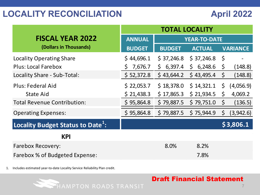|                                               | <b>TOTAL LOCALITY</b> |                     |               |         |                 |  |  |
|-----------------------------------------------|-----------------------|---------------------|---------------|---------|-----------------|--|--|
| <b>FISCAL YEAR 2022</b>                       | <b>ANNUAL</b>         | <b>YEAR-TO-DATE</b> |               |         |                 |  |  |
| (Dollars in Thousands)                        | <b>BUDGET</b>         | <b>BUDGET</b>       | <b>ACTUAL</b> |         | <b>VARIANCE</b> |  |  |
| <b>Locality Operating Share</b>               | \$44,696.1            | \$37,246.8          | \$37,246.8    | $\zeta$ |                 |  |  |
| <b>Plus: Local Farebox</b>                    | 7,676.7<br>S          | \$6,397.4           | \$6,248.6     | Ş       | (148.8)         |  |  |
| Locality Share - Sub-Total:                   | \$ 52,372.8           | \$43,644.2          | \$43,495.4    | $\zeta$ | (148.8)         |  |  |
| <b>Plus: Federal Aid</b>                      | \$22,053.7            | \$18,378.0          | \$14,321.1    | \$      | (4,056.9)       |  |  |
| <b>State Aid</b>                              | \$21,438.3            | \$17,865.3          | \$21,934.5    | \$      | 4,069.2         |  |  |
| <b>Total Revenue Contribution:</b>            | \$95,864.8            | \$79,887.5          | \$79,751.0    | $\zeta$ | (136.5)         |  |  |
| <b>Operating Expenses:</b>                    | \$95,864.8            | \$79,887.5          | \$75,944.9    | $\zeta$ | (3,942.6)       |  |  |
| Locality Budget Status to Date <sup>1</sup> : |                       |                     |               |         | \$3,806.1       |  |  |
| <b>KPI</b>                                    |                       |                     |               |         |                 |  |  |
| <b>Farebox Recovery:</b>                      |                       | 8.0%                | 8.2%          |         |                 |  |  |
| Farebox % of Budgeted Expense:                |                       |                     | 7.8%          |         |                 |  |  |

1. Includes estimated year-to-date Locality Service Reliability Plan credit.

HAMPTON ROADS TRANSIT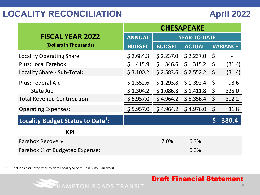|                                               |               | <b>CHESAPEAKE</b>   |                       |         |                 |  |  |  |
|-----------------------------------------------|---------------|---------------------|-----------------------|---------|-----------------|--|--|--|
| <b>FISCAL YEAR 2022</b>                       | <b>ANNUAL</b> | <b>YEAR-TO-DATE</b> |                       |         |                 |  |  |  |
| (Dollars in Thousands)                        | <b>BUDGET</b> | <b>BUDGET</b>       | <b>ACTUAL</b>         |         | <b>VARIANCE</b> |  |  |  |
| <b>Locality Operating Share</b>               | \$2,684.3     | \$2,237.0           | \$2,237.0             | \$      |                 |  |  |  |
| <b>Plus: Local Farebox</b>                    | 415.9<br>Ś.   | 346.6<br>Ś.         | 315.2<br>$\mathsf{S}$ | \$      | (31.4)          |  |  |  |
| Locality Share - Sub-Total:                   | \$3,100.2     | \$2,583.6           | \$2,552.2             | $\zeta$ | (31.4)          |  |  |  |
| Plus: Federal Aid                             | \$1,552.6     | \$1,293.8           | \$1,392.4             | \$      | 98.6            |  |  |  |
| <b>State Aid</b>                              | \$1,304.2     | \$1,086.8           | \$1,411.8             | \$      | 325.0           |  |  |  |
| <b>Total Revenue Contribution:</b>            | \$5,957.0     | \$4,964.2           | \$5,356.4             | $\zeta$ | 392.2           |  |  |  |
| <b>Operating Expenses:</b>                    | \$5,957.0     | \$4,964.2           | \$4,976.0             | $\zeta$ | 11.8            |  |  |  |
| Locality Budget Status to Date <sup>1</sup> : |               |                     |                       |         | 380.4           |  |  |  |
| <b>KPI</b>                                    |               |                     |                       |         |                 |  |  |  |
| <b>Farebox Recovery:</b>                      |               | 7.0%                | 6.3%                  |         |                 |  |  |  |
| Farebox % of Budgeted Expense:                |               |                     | 6.3%                  |         |                 |  |  |  |

1. Includes estimated year-to-date Locality Service Reliability Plan credit.

HAMPTON ROADS TRANSIT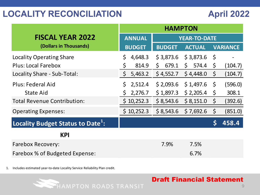| <b>FISCAL YEAR 2022</b>                       | <b>ANNUAL</b>      | <b>YEAR-TO-DATE</b> |               |             |                 |  |  |
|-----------------------------------------------|--------------------|---------------------|---------------|-------------|-----------------|--|--|
| (Dollars in Thousands)                        | <b>BUDGET</b>      | <b>BUDGET</b>       | <b>ACTUAL</b> |             | <b>VARIANCE</b> |  |  |
| <b>Locality Operating Share</b>               | \$<br>4,648.3      | \$3,873.6           | \$3,873.6     | - \$        |                 |  |  |
| <b>Plus: Local Farebox</b>                    | \$<br>814.9        | 679.1<br>\$         | 574.4<br>\$   | $\zeta$     | (104.7)         |  |  |
| Locality Share - Sub-Total:                   | $\zeta$<br>5,463.2 | \$4,552.7           | \$4,448.0     | $\varsigma$ | (104.7)         |  |  |
| Plus: Federal Aid                             | \$<br>2,512.4      | \$2,093.6           | \$1,497.6     | $\zeta$     | (596.0)         |  |  |
| <b>State Aid</b>                              | 2,276.7<br>\$      | \$1,897.3           | \$2,205.4     | \$          | 308.1           |  |  |
| <b>Total Revenue Contribution:</b>            | \$10,252.3         | \$8,543.6           | \$8,151.0     | $\zeta$     | (392.6)         |  |  |
| <b>Operating Expenses:</b>                    | \$10,252.3         | \$8,543.6           | \$7,692.6     | $\zeta$     | (851.0)         |  |  |
| Locality Budget Status to Date <sup>1</sup> : |                    |                     |               | Ś           | 458.4           |  |  |
| <b>KPI</b>                                    |                    |                     |               |             |                 |  |  |
| <b>Farebox Recovery:</b>                      |                    | 7.9%                | 7.5%          |             |                 |  |  |
| Farebox % of Budgeted Expense:                |                    |                     | 6.7%          |             |                 |  |  |

1. Includes estimated year-to-date Locality Service Reliability Plan credit.

HAMPTON ROADS TRANSIT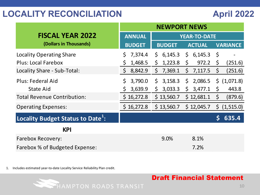| <b>FISCAL YEAR 2022</b>                       | <b>ANNUAL</b>      | <b>YEAR-TO-DATE</b>                                |                       |  |  |  |  |
|-----------------------------------------------|--------------------|----------------------------------------------------|-----------------------|--|--|--|--|
| (Dollars in Thousands)                        | <b>BUDGET</b>      | <b>BUDGET</b><br><b>ACTUAL</b>                     | <b>VARIANCE</b>       |  |  |  |  |
| <b>Locality Operating Share</b>               | 7,374.4<br>\$      | \$<br>\$6,145.3<br>6,145.3                         | $\zeta$               |  |  |  |  |
| <b>Plus: Local Farebox</b>                    | 1,468.5<br>\$      | \$<br>1,223.8<br>$\varsigma$<br>972.2              | \$<br>(251.6)         |  |  |  |  |
| Locality Share - Sub-Total:                   | $\zeta$<br>8,842.9 | $\mathsf{S}$<br>7,369.1<br>$\mathsf{S}$<br>7,117.5 | \$<br>(251.6)         |  |  |  |  |
| <b>Plus: Federal Aid</b>                      | \$<br>3,790.0      | 3,158.3<br>2,086.5<br>\$<br>$\mathsf{S}$           | \$ (1,071.8)          |  |  |  |  |
| State Aid                                     | 3,639.9<br>S       | \$<br>3,033.3<br>3,477.1<br>$\mathsf{S}$           | $\mathsf{S}$<br>443.8 |  |  |  |  |
| <b>Total Revenue Contribution:</b>            | \$16,272.8         | \$13,560.7<br>\$12,681.1                           | \$<br>(879.6)         |  |  |  |  |
| <b>Operating Expenses:</b>                    | \$16,272.8         | \$13,560.7<br>\$12,045.7                           | \$<br>(1, 515.0)      |  |  |  |  |
| Locality Budget Status to Date <sup>1</sup> : |                    |                                                    | 635.4                 |  |  |  |  |
| <b>KPI</b>                                    |                    |                                                    |                       |  |  |  |  |
| <b>Farebox Recovery:</b>                      |                    | 9.0%<br>8.1%                                       |                       |  |  |  |  |
| Farebox % of Budgeted Expense:                |                    | 7.2%                                               |                       |  |  |  |  |

1. Includes estimated year-to-date Locality Service Reliability Plan credit.

HAMPTON ROADS TRANSIT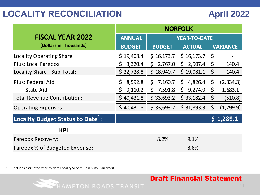|                                               | <b>NORFOLK</b> |                         |                         |             |                 |  |
|-----------------------------------------------|----------------|-------------------------|-------------------------|-------------|-----------------|--|
| <b>FISCAL YEAR 2022</b>                       | <b>ANNUAL</b>  |                         | <b>YEAR-TO-DATE</b>     |             |                 |  |
| (Dollars in Thousands)                        | <b>BUDGET</b>  | <b>BUDGET</b>           | <b>ACTUAL</b>           |             | <b>VARIANCE</b> |  |
| <b>Locality Operating Share</b>               | \$19,408.4     | \$16,173.7              | \$16,173.7              | \$          |                 |  |
| <b>Plus: Local Farebox</b>                    | 3,320.4<br>S   | 2,767.0<br>$\mathsf{S}$ | \$2,907.4               | \$          | 140.4           |  |
| Locality Share - Sub-Total:                   | \$22,728.8     | \$18,940.7              | \$19,081.1              | $\varsigma$ | 140.4           |  |
| Plus: Federal Aid                             | \$<br>8,592.8  | 7,160.7<br>\$           | 4,826.4<br>$\mathsf{S}$ | $\zeta$     | (2, 334.3)      |  |
| <b>State Aid</b>                              | 9,110.2<br>\$. | \$7,591.8               | \$9,274.9               | \$          | 1,683.1         |  |
| <b>Total Revenue Contribution:</b>            | \$40,431.8     | \$33,693.2              | \$33,182.4              | $\zeta$     | (510.8)         |  |
| <b>Operating Expenses:</b>                    | \$40,431.8     | \$33,693.2              | \$31,893.3              | $\zeta$     | (1,799.9)       |  |
| Locality Budget Status to Date <sup>1</sup> : |                |                         |                         |             | \$1,289.1       |  |
| <b>KPI</b>                                    |                |                         |                         |             |                 |  |
| <b>Farebox Recovery:</b>                      |                | 8.2%                    | 9.1%                    |             |                 |  |
| Farebox % of Budgeted Expense:                |                |                         | 8.6%                    |             |                 |  |

1. Includes estimated year-to-date Locality Service Reliability Plan credit.

HAMPTON ROADS TRANSIT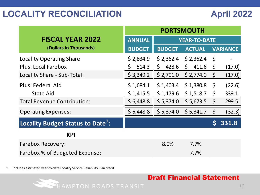|                                               | <b>PORTSMOUTH</b> |               |                       |             |                 |  |
|-----------------------------------------------|-------------------|---------------|-----------------------|-------------|-----------------|--|
| <b>FISCAL YEAR 2022</b>                       | <b>ANNUAL</b>     |               | <b>YEAR-TO-DATE</b>   |             |                 |  |
| (Dollars in Thousands)                        | <b>BUDGET</b>     | <b>BUDGET</b> | <b>ACTUAL</b>         |             | <b>VARIANCE</b> |  |
| <b>Locality Operating Share</b>               | \$2,834.9         | \$2,362.4     | \$2,362.4             | \$          |                 |  |
| <b>Plus: Local Farebox</b>                    | 514.3<br>S        | 428.6<br>\$   | 411.6<br>$\mathsf{S}$ | \$.         | (17.0)          |  |
| Locality Share - Sub-Total:                   | \$3,349.2         | \$2,791.0     | \$2,774.0             | $\varsigma$ | (17.0)          |  |
| Plus: Federal Aid                             | \$1,684.1         | \$1,403.4     | \$1,380.8             | $\zeta$     | (22.6)          |  |
| <b>State Aid</b>                              | \$1,415.5         | \$1,179.6     | \$1,518.7             | $\zeta$     | 339.1           |  |
| <b>Total Revenue Contribution:</b>            | \$6,448.8         | \$5,374.0     | \$5,673.5             | \$          | 299.5           |  |
| <b>Operating Expenses:</b>                    | \$6,448.8         | \$5,374.0     | \$5,341.7             | $\zeta$     | (32.3)          |  |
| Locality Budget Status to Date <sup>1</sup> : |                   |               |                       |             | 331.8           |  |
| <b>KPI</b>                                    |                   |               |                       |             |                 |  |
| <b>Farebox Recovery:</b>                      |                   | 8.0%          | 7.7%                  |             |                 |  |
| Farebox % of Budgeted Expense:                |                   |               | 7.7%                  |             |                 |  |

1. Includes estimated year-to-date Locality Service Reliability Plan credit.

HAMPTON ROADS TRANSIT